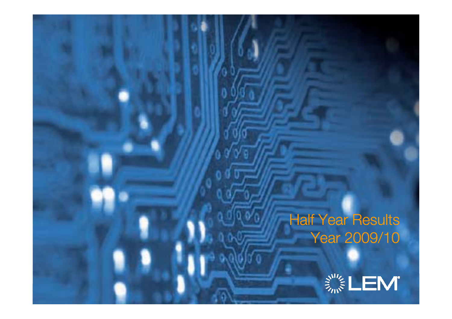### Half Year Results Year 2009/10

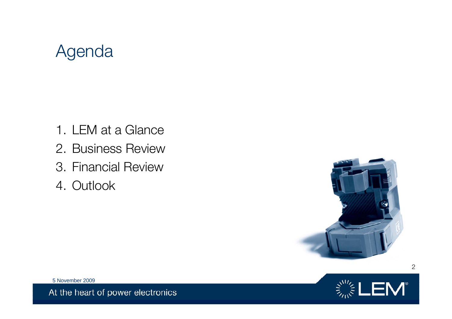# Agenda

- 1. LEM at a Glance
- 2. Business Review
- 3. Financial Review
- 4. Outlook





5 November 2009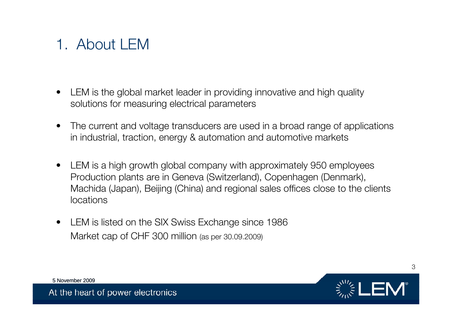### 1. About LEM

- $\bullet$  LEM is the global market leader in providing innovative and high quality solutions for measuring electrical parameters
- $\bullet$  The current and voltage transducers are used in a broad range of applications in industrial, traction, energy & automation and automotive markets
- $\bullet$  LEM is a high growth global company with approximately 950 employees Production plants are in Geneva (Switzerland), Copenhagen (Denmark), Machida (Japan), Beijing (China) and regional sales offices close to the clients locations
- $\bullet$  LEM is listed on the SIX Swiss Exchange since 1986 Market cap of CHF 300 million (as per 30.09.2009)

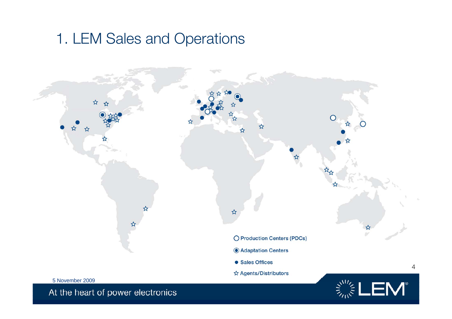### 1. LEM Sales and Operations

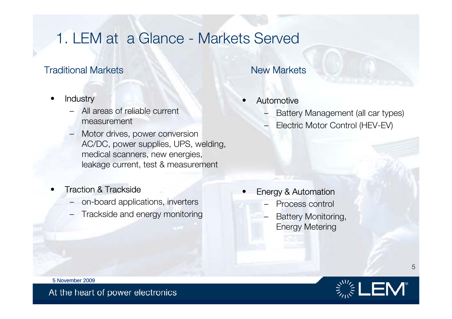### 1. LEM at a Glance - Markets Served

### **Traditional Markets** New Markets

- •**Industry** 
	- All areas of reliable current measurement
	- Motor drives, power conversion AC/DC, power supplies, UPS, welding, medical scanners, new energies, leakage current, test & measurement

#### •Traction & Trackside

- on-board applications, inverters
- Trackside and energy monitoring

#### •Automotive

- Battery Management (all car types)
- Electric Motor Control (HEV-EV)

- • Energy & Automation
	- Process control
	- Battery Monitoring, Energy Metering



5 November 2009

At the heart of power electronics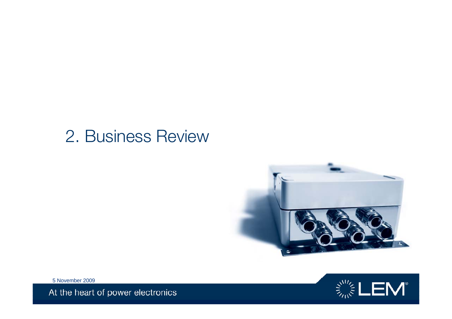### 2. Business Review





5 November 2009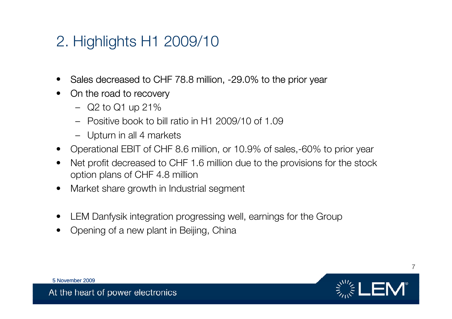### 2. Highlights H1 2009/10

- $\bullet$ Sales decreased to CHF 78.8 million, -29.0% to the prior year
- $\bullet$  On the road to recovery
	- Q2 to Q1 up 21%
	- Positive book to bill ratio in H1 2009/10 of 1.09
	- Upturn in all 4 markets
- $\bullet$ Operational EBIT of CHF 8.6 million, or 10.9% of sales,-60% to prior year
- • Net profit decreased to CHF 1.6 million due to the provisions for the stock option plans of CHF 4.8 million
- •Market share growth in Industrial segment
- •LEM Danfysik integration progressing well, earnings for the Group
- •Opening of a new plant in Beijing, China



5 November 2009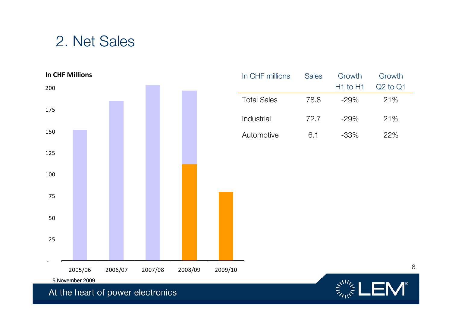### 2. Net Sales



| In CHF millions    | <b>Sales</b> | Growth       | Growth       |
|--------------------|--------------|--------------|--------------|
|                    |              | $H1$ to $H1$ | $Q2$ to $Q1$ |
| <b>Total Sales</b> | 78.8         | $-29%$       | 21%          |
| Industrial         | 72.7         | $-29%$       | 21%          |
| Automotive         | 6.1          | $-33%$       | 22%          |

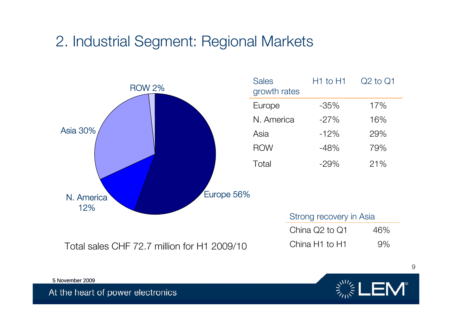### 2. Industrial Segment: Regional Markets



| <b>Sales</b><br>growth rates | $H1$ to $H1$ | $Q2$ to $Q1$ |
|------------------------------|--------------|--------------|
| Europe                       | -35%         | 17%          |
| N. America                   | $-27%$       | 16%          |
| Asia                         | $-12%$       | 29%          |
| <b>ROW</b>                   | $-48%$       | 79%          |
| Total                        | $-29\%$      | 21%          |

| Strong recovery in Asia                |     |
|----------------------------------------|-----|
| China Q2 to Q1                         | 46% |
| China H <sub>1</sub> to H <sub>1</sub> | 9%  |



5 November 2009

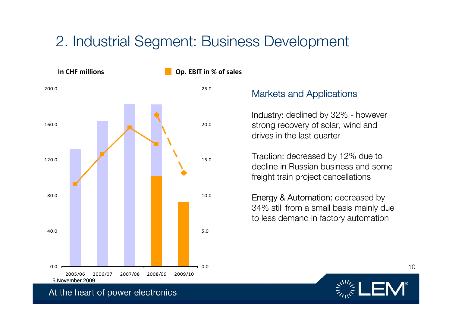### 2. Industrial Segment: Business Development

In CHF millions



#### **CDP. EBIT** in % of sales

### Markets and Applications

Industry: declined by 32% - however strong recovery of solar, wind and drives in the last quarter

**Traction:** decreased by 12% due to decline in Russian business and somefreight train project cancellations

Energy & Automation: decreased by 34% still from a small basis mainly due to less demand in factory automation



At the heart of power electronics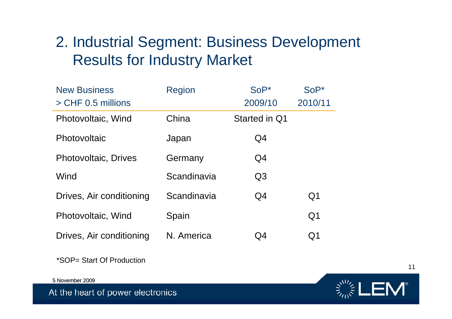### 2. Industrial Segment: Business Development Results for Industry Market

| <b>New Business</b>         | <b>Region</b> | $Sop*$         | $SoP*$         |
|-----------------------------|---------------|----------------|----------------|
| > CHF 0.5 millions          |               | 2009/10        | 2010/11        |
| Photovoltaic, Wind          | China         | Started in Q1  |                |
| Photovoltaic                | Japan         | Q <sub>4</sub> |                |
| <b>Photovoltaic, Drives</b> | Germany       | Q4             |                |
| Wind                        | Scandinavia   | Q <sub>3</sub> |                |
| Drives, Air conditioning    | Scandinavia   | Q4             | Q <sub>1</sub> |
| Photovoltaic, Wind          | Spain         |                | Q <sub>1</sub> |
| Drives, Air conditioning    | N. America    | Q4             | Q1             |

\*SOP= Start Of Production

5 November 2009

At the heart of power electronics

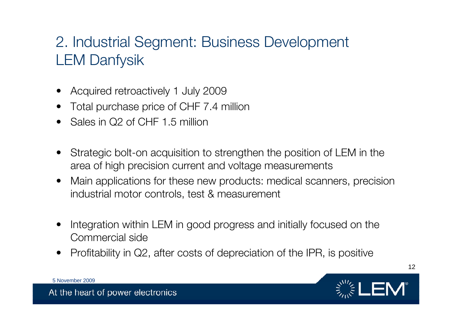### 2. Industrial Segment: Business Development LEM Danfysik

- •Acquired retroactively 1 July 2009
- •Total purchase price of CHF 7.4 million
- •Sales in Q2 of CHF 1.5 million
- $\bullet$  Strategic bolt-on acquisition to strengthen the position of LEM in the area of high precision current and voltage measurements
- $\bullet$  Main applications for these new products: medical scanners, precision industrial motor controls, test & measurement
- $\bullet$  Integration within LEM in good progress and initially focused on the Commercial side
- •Profitability in Q2, after costs of depreciation of the IPR, is positive



12

5 November 2009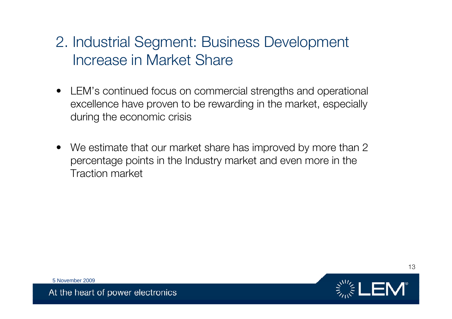### 2. Industrial Segment: Business Development Increase in Market Share

- LEM's continued focus on commercial strengths and operational excellence have proven to be rewarding in the market, especially during the economic crisis
- We estimate that our market share has improved by more than 2 percentage points in the Industry market and even more in the Traction market



13

5 November 2009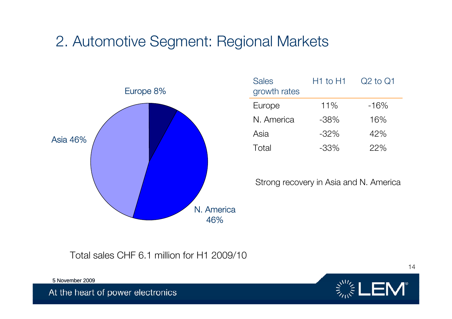### 2. Automotive Segment: Regional Markets



| <b>Sales</b><br>growth rates | $H1$ to $H1$ | $Q2$ to $Q1$ |
|------------------------------|--------------|--------------|
| Europe                       | 11%          | $-16%$       |
| N. America                   | $-38%$       | 16%          |
| Asia                         | $-32%$       | 42%          |
| Total                        | $-33\%$      | 22%          |

Strong recovery in Asia and N. America

Total sales CHF 6.1 million for H1 2009/10



5 November 2009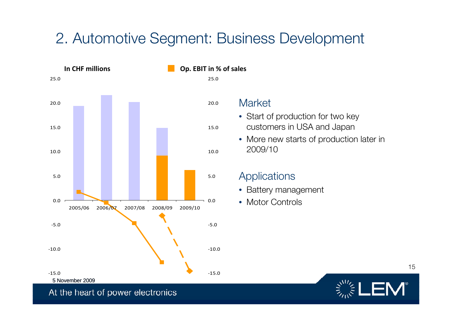### 2. Automotive Segment: Business Development



Market

- Start of production for two key customers in USA and Japan
- More new starts of production later in 2009/10

### **Applications**

- Battery management
- Motor Controls

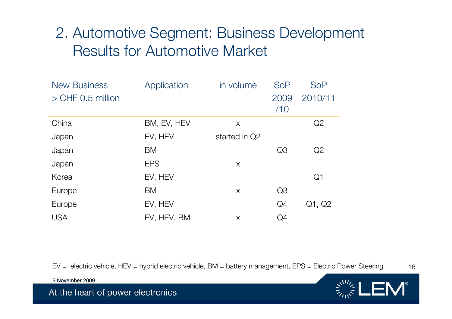### 2. Automotive Segment: Business Development Results for Automotive Market

| <b>New Business</b> | Application | in volume     | <b>SoP</b> | <b>SoP</b>     |
|---------------------|-------------|---------------|------------|----------------|
| $>$ CHF 0.5 million |             |               | 2009       | 2010/11        |
|                     |             |               | /10        |                |
| China               | BM, EV, HEV | X             |            | Q2             |
| Japan               | EV, HEV     | started in Q2 |            |                |
| Japan               | BM          |               | Q3         | Q2             |
| Japan               | <b>EPS</b>  | X             |            |                |
| Korea               | EV, HEV     |               |            | Q <sub>1</sub> |
| Europe              | BM          | X             | Q3         |                |
| Europe              | EV, HEV     |               | Q4         | Q1, Q2         |
| <b>USA</b>          | EV, HEV, BM | X             | Q4         |                |

16EV = electric vehicle, HEV = hybrid electric vehicle, BM = battery management, EPS = Electric Power Steering

5 November 2009

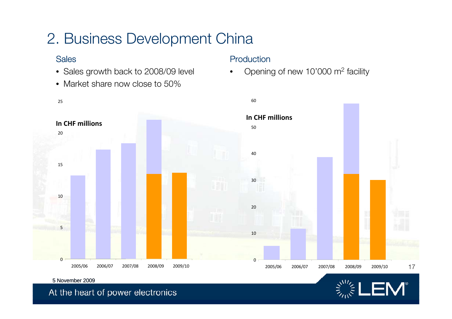### 2. Business Development China

### Sales

- Sales growth back to 2008/09 level
- Market share now close to 50%

#### Production

•Opening of new 10'000 m2 facility





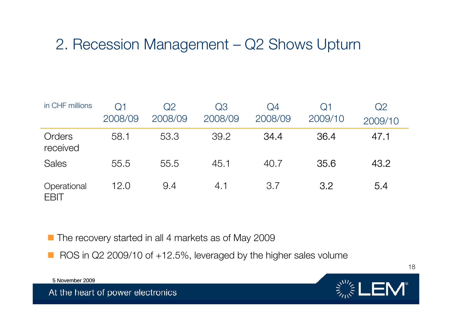### 2. Recession Management – Q2 Shows Upturn

| in CHF millions            | Q1      | Q2      | Q3      | Q4      | Q1      | Q2      |
|----------------------------|---------|---------|---------|---------|---------|---------|
|                            | 2008/09 | 2008/09 | 2008/09 | 2008/09 | 2009/10 | 2009/10 |
| Orders<br>received         | 58.1    | 53.3    | 39.2    | 34.4    | 36.4    | 47.1    |
| <b>Sales</b>               | 55.5    | 55.5    | 45.1    | 40.7    | 35.6    | 43.2    |
| Operational<br><b>EBIT</b> | 12.0    | 9.4     | 4.1     | 3.7     | 3.2     | 5.4     |

■ The recovery started in all 4 markets as of May 2009

ROS in Q2 2009/10 of +12.5%, leveraged by the higher sales volume

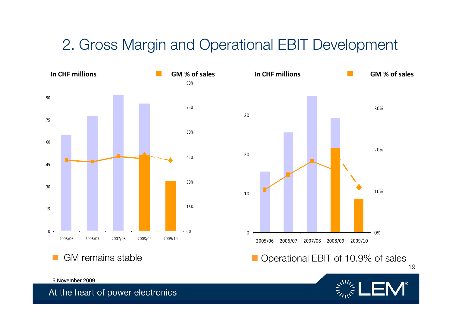### 2. Gross Margin and Operational EBIT Development



GM remains stable





5 November 2009 At the heart of power electronics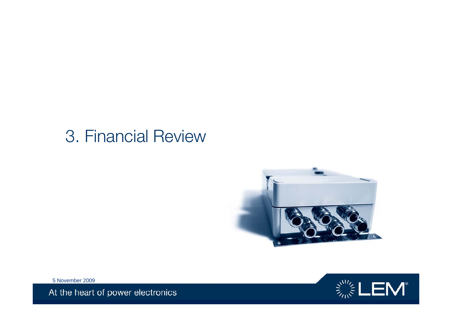# 3. Financial Review



 $\mathbf{E}^{\mathbf{W}}_{\mathbf{W}}\mathbf{E}^{\mathbf{W}}_{\mathbf{W}}=\mathbf{E}^{\mathbf{W}}_{\mathbf{W}}\mathbf{E}^{\mathbf{W}}_{\mathbf{W}}$ 

5 November 2009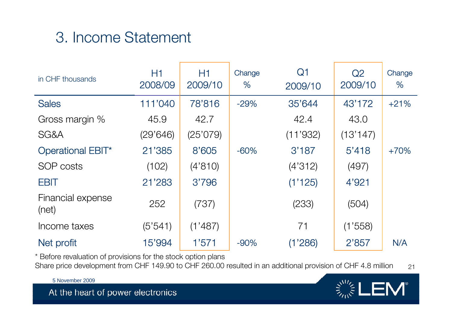# 3. Income Statement

| in CHF thousands           | H1<br>2008/09 | H1<br>2009/10 | Change<br>% | Q <sub>1</sub><br>2009/10 | Q2<br>2009/10 | Change<br>% |
|----------------------------|---------------|---------------|-------------|---------------------------|---------------|-------------|
| <b>Sales</b>               | 111'040       | 78'816        | $-29%$      | 35'644                    | 43'172        | $+21%$      |
| Gross margin %             | 45.9          | 42.7          |             | 42.4                      | 43.0          |             |
| SG&A                       | (29'646)      | (25'079)      |             | (11'932)                  | (13'147)      |             |
| <b>Operational EBIT*</b>   | 21'385        | 8'605         | $-60%$      | 3'187                     | 5'418         | $+70%$      |
| SOP costs                  | (102)         | (4'810)       |             | (4'312)                   | (497)         |             |
| <b>EBIT</b>                | 21'283        | 3'796         |             | (1'125)                   | 4'921         |             |
| Financial expense<br>(net) | 252           | (737)         |             | (233)                     | (504)         |             |
| Income taxes               | (5'541)       | (1'487)       |             | 71                        | (1'558)       |             |
| Net profit                 | 15'994        | 1'571         | $-90%$      | (1'286)                   | 2'857         | N/A         |

\* Before revaluation of provisions for the stock option plans

21Share price development from CHF 149.90 to CHF 260.00 resulted in an additional provision of CHF 4.8 million

5 November 2009

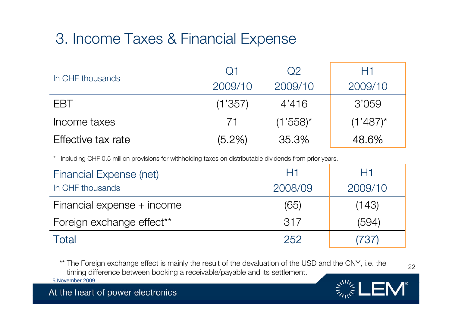# 3. Income Taxes & Financial Expense

|                    | $\Omega$ 1 | Q2            | H1          |
|--------------------|------------|---------------|-------------|
| In CHF thousands   | 2009/10    | 2009/10       | 2009/10     |
| <b>FBT</b>         | (1'357)    | 4'416         | 3'059       |
| Income taxes       | 71         | $(1'558)^{*}$ | $(1'487)^*$ |
| Effective tax rate | $(5.2\%)$  | 35.3%         | 48.6%       |

\* Including CHF 0.5 million provisions for withholding taxes on distributable dividends from prior years.

| <b>Financial Expense (net)</b>        | H1      | H1      |
|---------------------------------------|---------|---------|
| In CHF thousands                      | 2008/09 | 2009/10 |
| Financial expense + income            | (65)    | (143)   |
| Foreign exchange effect <sup>**</sup> | 317     | (594)   |
| Total                                 | 252     | (737)   |

\*\* The Foreign exchange effect is mainly the result of the devaluation of the USD and the CNY, i.e. the timing difference between booking a receivable/payable and its settlement.

22

 $\mathsf{EM}^*$ 

At the heart of power electronics

5 November 2009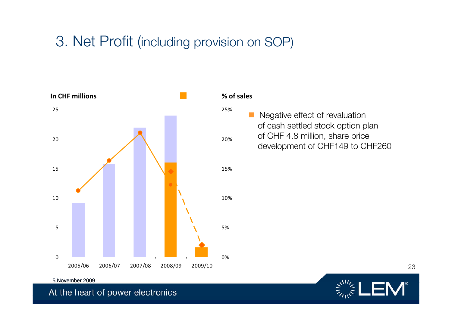### 3. Net Profit (including provision on SOP)



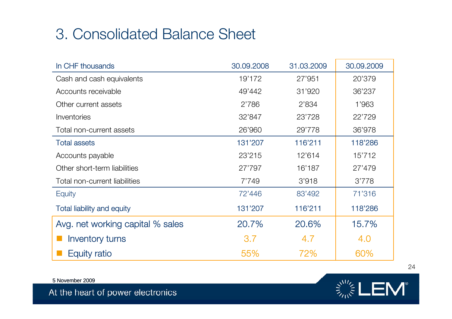### 3. Consolidated Balance Sheet

| In CHF thousands                  | 30.09.2008 | 31.03.2009 | 30.09.2009 |
|-----------------------------------|------------|------------|------------|
| Cash and cash equivalents         | 19'172     | 27'951     | 20'379     |
| Accounts receivable               | 49'442     | 31'920     | 36'237     |
| Other current assets              | 2'786      | 2'834      | 1'963      |
| <i><b>Inventories</b></i>         | 32'847     | 23'728     | 22'729     |
| Total non-current assets          | 26'960     | 29'778     | 36'978     |
| <b>Total assets</b>               | 131'207    | 116'211    | 118'286    |
| Accounts payable                  | 23'215     | 12'614     | 15'712     |
| Other short-term liabilities      | 27'797     | 16'187     | 27'479     |
| Total non-current liabilities     | 7'749      | 3'918      | 3'778      |
| Equity                            | 72'446     | 83'492     | 71'316     |
| <b>Total liability and equity</b> | 131'207    | 116'211    | 118'286    |
| Avg. net working capital % sales  | 20.7%      | 20.6%      | 15.7%      |
| <b>Inventory turns</b>            | 3.7        | 4.7        | 4.0        |
| <b>Equity ratio</b>               | 55%        | 72%        | 60%        |

5 November 2009



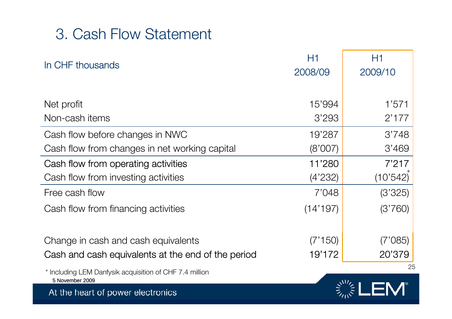### 3. Cash Flow Statement

| In CHF thousands                                                                          | H1<br>2008/09     | H1<br>2009/10     |
|-------------------------------------------------------------------------------------------|-------------------|-------------------|
| Net profit                                                                                | 15'994            | 1'571             |
| Non-cash items                                                                            | 3'293             | 2'177             |
| Cash flow before changes in NWC                                                           | 19'287            | 3'748             |
| Cash flow from changes in net working capital                                             | (8'007)           | 3'469             |
| Cash flow from operating activities                                                       | 11'280            | 7'217             |
| Cash flow from investing activities                                                       | (4'232)           | (10'542)          |
| Free cash flow                                                                            | 7'048             | (3'325)           |
| Cash flow from financing activities                                                       | (14'197)          | (3'760)           |
| Change in cash and cash equivalents<br>Cash and cash equivalents at the end of the period | (7'150)<br>19'172 | (7'085)<br>20'379 |
| * Including LEM Danfysik acquisition of CHF 7.4 million                                   |                   | 25                |
| 5 November 2009<br>At the heart of power electronics                                      |                   |                   |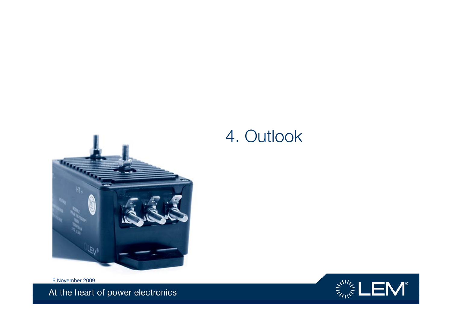

### 4. Outlook

5 November 2009 At the heart of power electronics

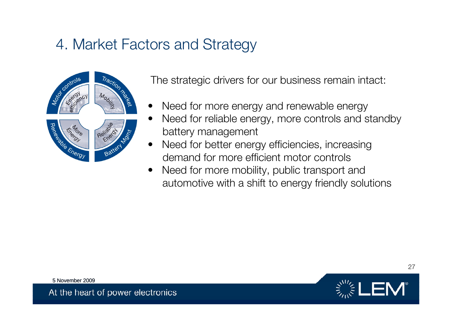### 4. Market Factors and Strategy



The strategic drivers for our business remain intact:

- •Need for more energy and renewable energy
- • Need for reliable energy, more controls and standby battery management
- $\bullet$  Need for better energy efficiencies, increasing demand for more efficient motor controls
- • Need for more mobility, public transport and automotive with a shift to energy friendly solutions



5 November 2009

At the heart of power electronics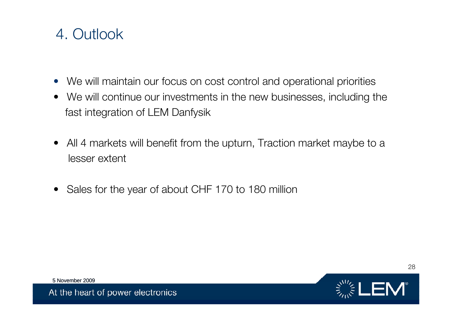### 4. Outlook

- We will maintain our focus on cost control and operational priorities
- We will continue our investments in the new businesses, including the fast integration of LEM Danfysik
- All 4 markets will benefit from the upturn, Traction market maybe to a lesser extent
- Sales for the year of about CHF 170 to 180 million



5 November 2009